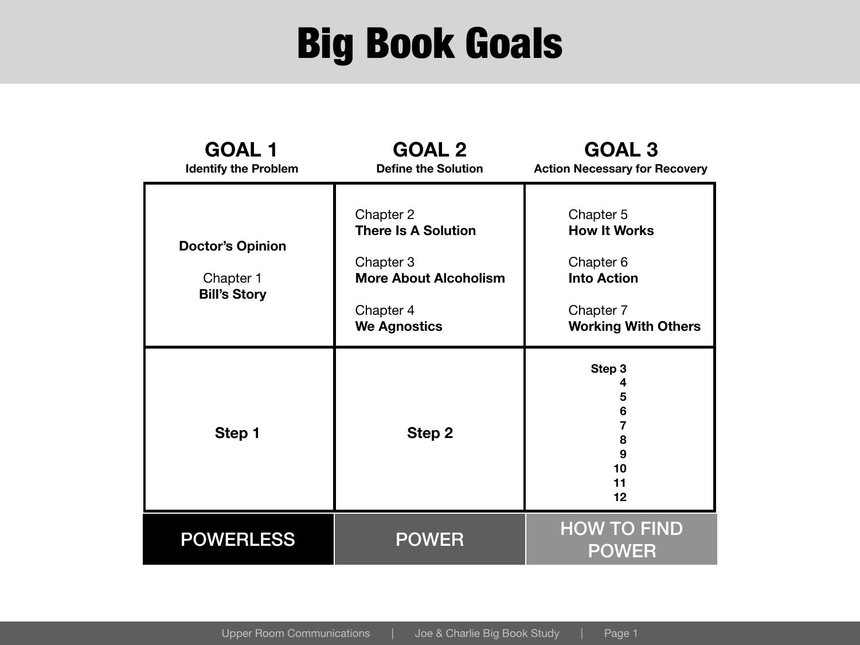#### Big Book Goals

| <b>GOAL 1</b><br><b>Identify the Problem</b>                | <b>GOAL 2</b><br><b>Define the Solution</b>                                                                              | <b>GOAL 3</b><br><b>Action Necessary for Recovery</b>                                                          |
|-------------------------------------------------------------|--------------------------------------------------------------------------------------------------------------------------|----------------------------------------------------------------------------------------------------------------|
| <b>Doctor's Opinion</b><br>Chapter 1<br><b>Bill's Story</b> | Chapter 2<br><b>There Is A Solution</b><br>Chapter 3<br><b>More About Alcoholism</b><br>Chapter 4<br><b>We Agnostics</b> | Chapter 5<br><b>How It Works</b><br>Chapter 6<br><b>Into Action</b><br>Chapter 7<br><b>Working With Others</b> |
| Step 1                                                      | <b>Step 2</b>                                                                                                            | Step 3<br>4<br>5<br>$6\phantom{1}6$<br>7<br>8<br>9<br>10<br>11<br>12                                           |
| <b>POWERLESS</b>                                            | <b>POWER</b>                                                                                                             | <b>HOW TO FIND</b><br><b>POWER</b>                                                                             |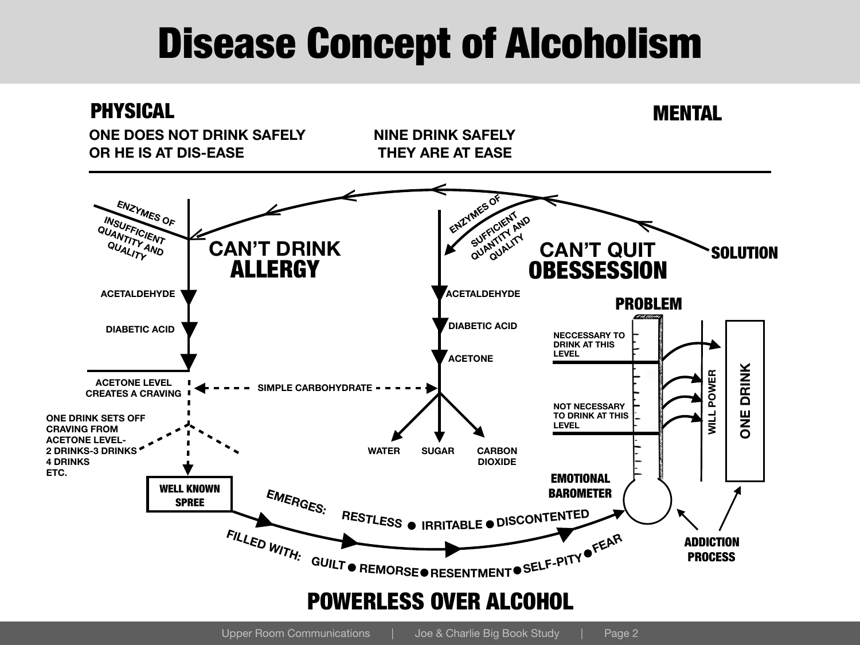## Disease Concept of Alcoholism

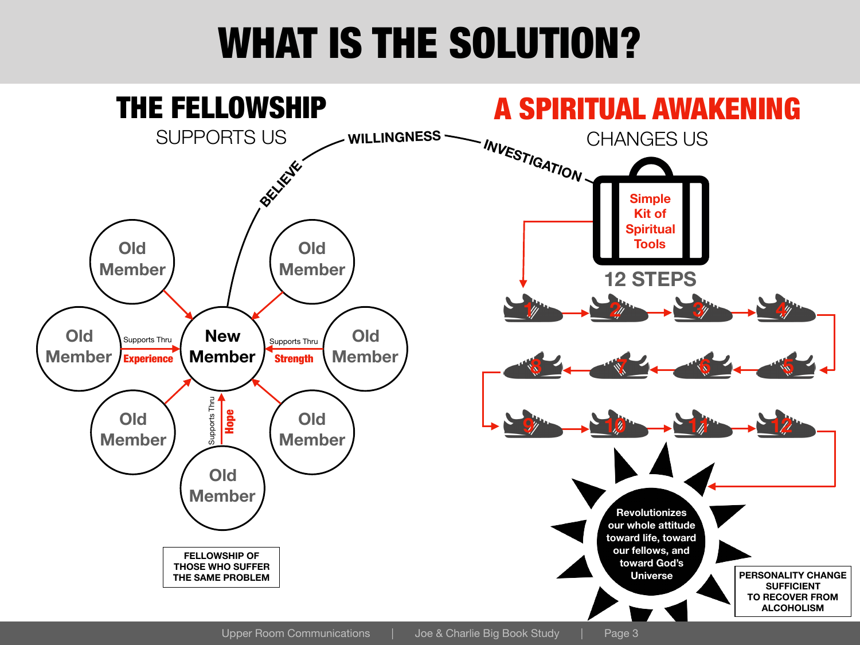## WHAT IS THE SOLUTION?

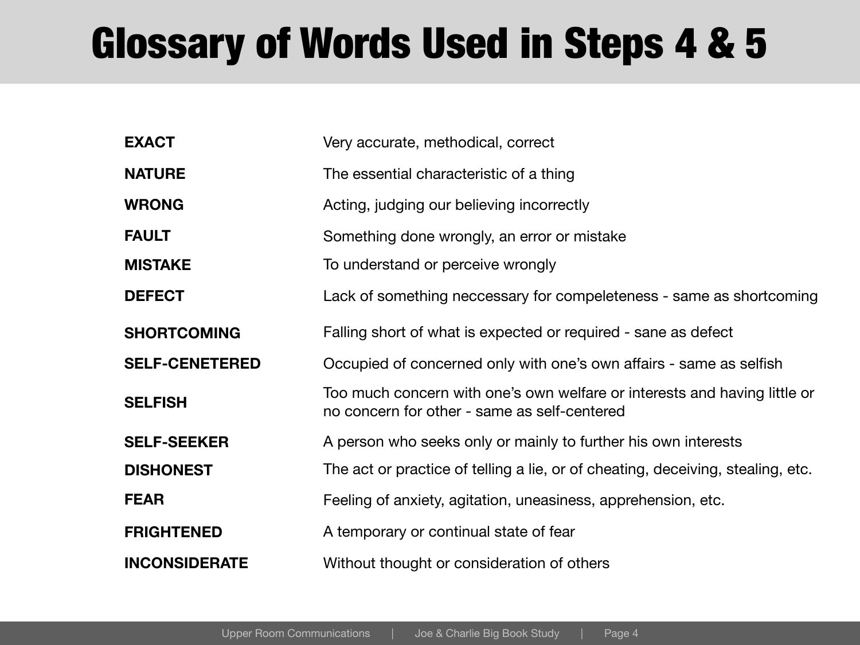# Glossary of Words Used in Steps 4 & 5

| <b>EXACT</b>          | Very accurate, methodical, correct                                                                                        |
|-----------------------|---------------------------------------------------------------------------------------------------------------------------|
| <b>NATURE</b>         | The essential characteristic of a thing                                                                                   |
| <b>WRONG</b>          | Acting, judging our believing incorrectly                                                                                 |
| <b>FAULT</b>          | Something done wrongly, an error or mistake                                                                               |
| <b>MISTAKE</b>        | To understand or perceive wrongly                                                                                         |
| <b>DEFECT</b>         | Lack of something neccessary for compeleteness - same as shortcoming                                                      |
| <b>SHORTCOMING</b>    | Falling short of what is expected or required - sane as defect                                                            |
| <b>SELF-CENETERED</b> | Occupied of concerned only with one's own affairs - same as selfish                                                       |
| <b>SELFISH</b>        | Too much concern with one's own welfare or interests and having little or<br>no concern for other - same as self-centered |
| <b>SELF-SEEKER</b>    | A person who seeks only or mainly to further his own interests                                                            |
| <b>DISHONEST</b>      | The act or practice of telling a lie, or of cheating, deceiving, stealing, etc.                                           |
| <b>FEAR</b>           | Feeling of anxiety, agitation, uneasiness, apprehension, etc.                                                             |
| <b>FRIGHTENED</b>     | A temporary or continual state of fear                                                                                    |
| <b>INCONSIDERATE</b>  | Without thought or consideration of others                                                                                |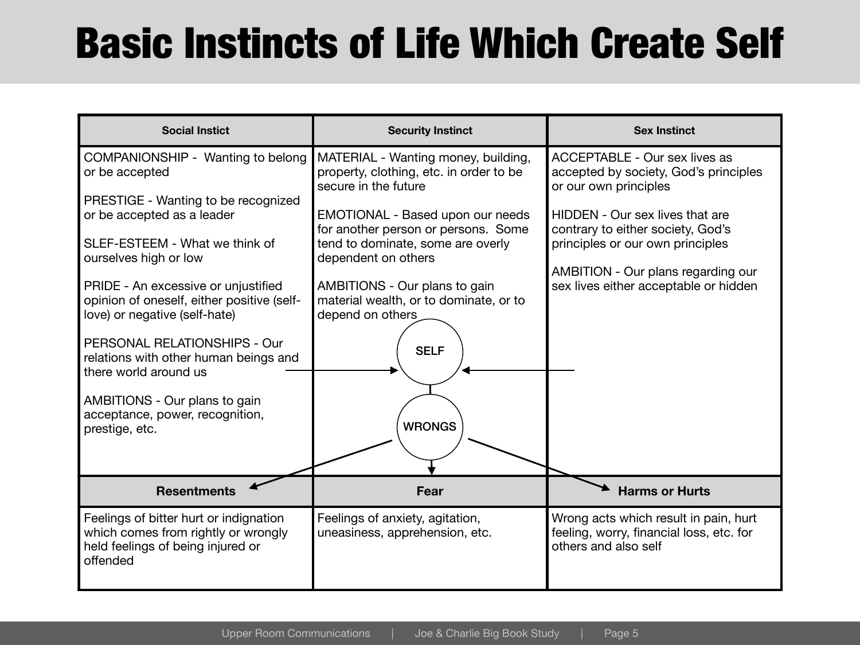# Basic Instincts of Life Which Create Self

| <b>Social Instict</b>                                                                                                          | <b>Security Instinct</b>                                                                               | <b>Sex Instinct</b>                                                                                       |
|--------------------------------------------------------------------------------------------------------------------------------|--------------------------------------------------------------------------------------------------------|-----------------------------------------------------------------------------------------------------------|
| COMPANIONSHIP - Wanting to belong<br>or be accepted                                                                            | MATERIAL - Wanting money, building,<br>property, clothing, etc. in order to be<br>secure in the future | <b>ACCEPTABLE - Our sex lives as</b><br>accepted by society, God's principles<br>or our own principles    |
| PRESTIGE - Wanting to be recognized<br>or be accepted as a leader                                                              | EMOTIONAL - Based upon our needs<br>for another person or persons. Some                                | HIDDEN - Our sex lives that are<br>contrary to either society, God's                                      |
| SLEF-ESTEEM - What we think of<br>ourselves high or low                                                                        | tend to dominate, some are overly<br>dependent on others                                               | principles or our own principles<br>AMBITION - Our plans regarding our                                    |
| PRIDE - An excessive or unjustified<br>opinion of oneself, either positive (self-<br>love) or negative (self-hate)             | AMBITIONS - Our plans to gain<br>material wealth, or to dominate, or to<br>depend on others            | sex lives either acceptable or hidden                                                                     |
| PERSONAL RELATIONSHIPS - Our<br>relations with other human beings and<br>there world around us                                 | <b>SELF</b>                                                                                            |                                                                                                           |
| AMBITIONS - Our plans to gain<br>acceptance, power, recognition,<br>prestige, etc.                                             | <b>WRONGS</b>                                                                                          |                                                                                                           |
|                                                                                                                                |                                                                                                        |                                                                                                           |
| <b>Resentments</b>                                                                                                             | Fear                                                                                                   | <b>Harms or Hurts</b>                                                                                     |
| Feelings of bitter hurt or indignation<br>which comes from rightly or wrongly<br>held feelings of being injured or<br>offended | Feelings of anxiety, agitation,<br>uneasiness, apprehension, etc.                                      | Wrong acts which result in pain, hurt<br>feeling, worry, financial loss, etc. for<br>others and also self |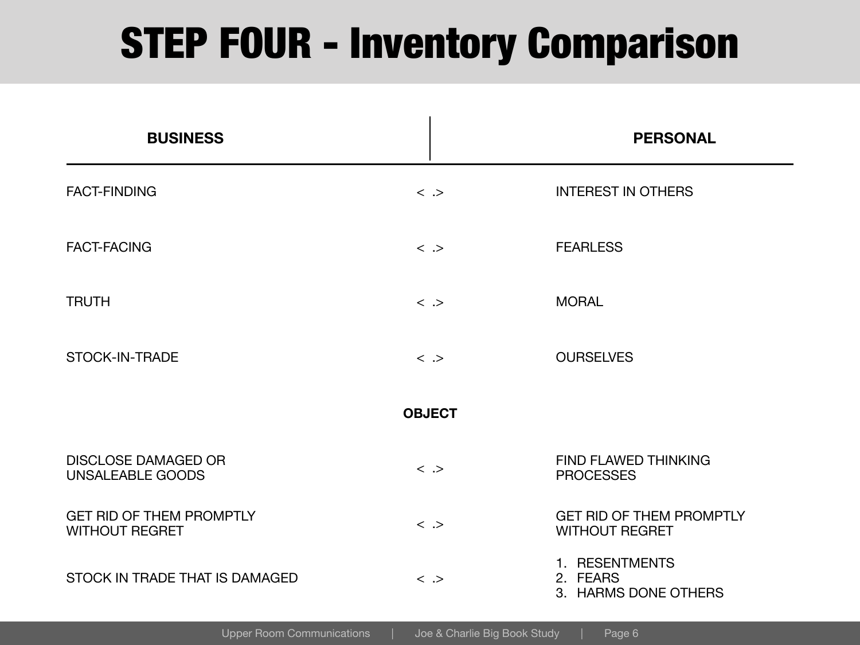## STEP FOUR - Inventory Comparison

| <b>BUSINESS</b>                                          |                     | <b>PERSONAL</b>                                          |
|----------------------------------------------------------|---------------------|----------------------------------------------------------|
| <b>FACT-FINDING</b>                                      | $\langle \rangle$   | <b>INTEREST IN OTHERS</b>                                |
| <b>FACT-FACING</b>                                       | $\langle \rangle$   | <b>FEARLESS</b>                                          |
| <b>TRUTH</b>                                             | $\langle \rangle$   | <b>MORAL</b>                                             |
| <b>STOCK-IN-TRADE</b>                                    | $\langle \rangle$   | <b>OURSELVES</b>                                         |
|                                                          | <b>OBJECT</b>       |                                                          |
| <b>DISCLOSE DAMAGED OR</b><br><b>UNSALEABLE GOODS</b>    | $\langle \rangle$   | <b>FIND FLAWED THINKING</b><br><b>PROCESSES</b>          |
| <b>GET RID OF THEM PROMPTLY</b><br><b>WITHOUT REGRET</b> | $\langle \rangle$   | <b>GET RID OF THEM PROMPTLY</b><br><b>WITHOUT REGRET</b> |
| STOCK IN TRADE THAT IS DAMAGED                           | $\langle \rangle$ . | 1. RESENTMENTS<br>2. FEARS<br>3. HARMS DONE OTHERS       |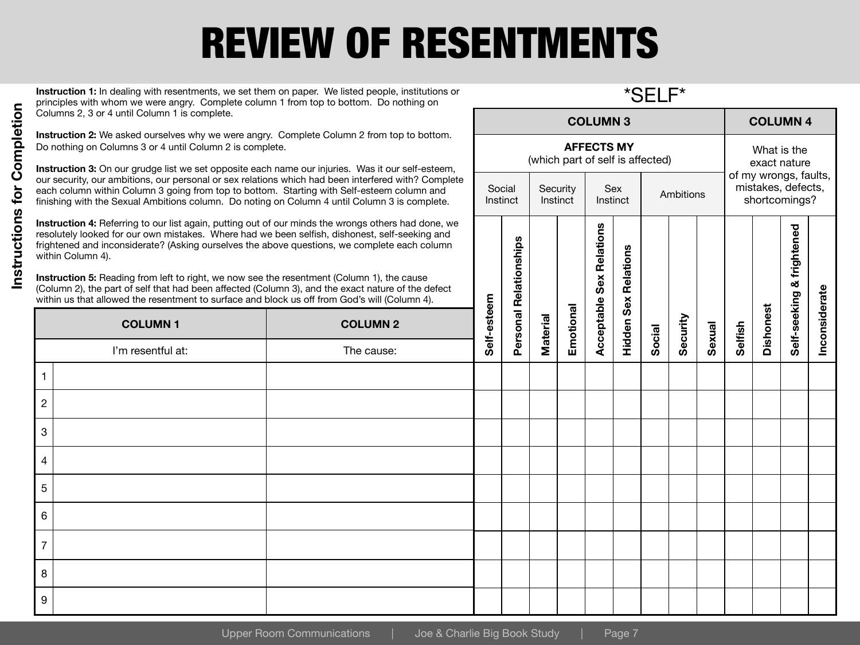# REVIEW OF RESENTMENTS

**Instruction 1:** In dealing with resentments, we set them on paper. We listed people, institutions or principles with whom we were angry. Complete column 1 from top to bottom. Do nothing on Columns 2, 3 or 4 until Column 1 is complete.

\*SELF\*

Instinct **Ambitions** 

**AFFECTS MY** (which part of self is affected)

Sex

**Security Instinct** 

**COLUMN 3 COLUMN 4**

What is the exact nature of my wrongs, faults, mistakes, defects, shortcomings?

htened

**Instruction 2:** We asked ourselves why we were angry. Complete Column 2 from top to bottom. Do nothing on Columns 3 or 4 until Column 2 is complete.

**Instruction 3:** On our grudge list we set opposite each name our injuries. Was it our self-esteem, our security, our ambitions, our personal or sex relations which had been interfered with? Complete each column within Column 3 going from top to bottom. Starting with Self-esteem column and finishing with the Sexual Ambitions column. Do noting on Column 4 until Column 3 is complete.

**Instruction 4:** Referring to our list again, putting out of our minds the wrongs others had done, we resolutely looked for our own mistakes. Where had we been selfish, dishonest, self-seeking and frightened and inconsiderate? (Asking ourselves the above questions, we complete each column within Column 4).

|                | <b>INSTRUCTION 4.</b> NETERTING TO OUT IST again, putting out of our fillings the wrongs others had done, we<br>resolutely looked for our own mistakes. Where had we been selfish, dishonest, self-seeking and<br>frightened and inconsiderate? (Asking ourselves the above questions, we complete each column<br>within Column 4).<br>Instruction 5: Reading from left to right, we now see the resentment (Column 1), the cause<br>(Column 2), the part of self that had been affected (Column 3), and the exact nature of the defect<br>within us that allowed the resentment to surface and block us off from God's will (Column 4). |                 |             |                        |          |           | Relations<br>Sex | Relations<br>Sex |        |          |        |         |                  | frightened<br>ಹ |               |
|----------------|------------------------------------------------------------------------------------------------------------------------------------------------------------------------------------------------------------------------------------------------------------------------------------------------------------------------------------------------------------------------------------------------------------------------------------------------------------------------------------------------------------------------------------------------------------------------------------------------------------------------------------------|-----------------|-------------|------------------------|----------|-----------|------------------|------------------|--------|----------|--------|---------|------------------|-----------------|---------------|
|                | <b>COLUMN1</b>                                                                                                                                                                                                                                                                                                                                                                                                                                                                                                                                                                                                                           | <b>COLUMN 2</b> | Self-esteem | Personal Relationships | Material | Emotional | Acceptable       | Hidden           |        | Security | Sexual | Selfish | <b>Dishonest</b> | Self-seeking    | Inconsiderate |
|                | I'm resentful at:                                                                                                                                                                                                                                                                                                                                                                                                                                                                                                                                                                                                                        | The cause:      |             |                        |          |           |                  |                  | Social |          |        |         |                  |                 |               |
|                |                                                                                                                                                                                                                                                                                                                                                                                                                                                                                                                                                                                                                                          |                 |             |                        |          |           |                  |                  |        |          |        |         |                  |                 |               |
| $\overline{2}$ |                                                                                                                                                                                                                                                                                                                                                                                                                                                                                                                                                                                                                                          |                 |             |                        |          |           |                  |                  |        |          |        |         |                  |                 |               |
| 3              |                                                                                                                                                                                                                                                                                                                                                                                                                                                                                                                                                                                                                                          |                 |             |                        |          |           |                  |                  |        |          |        |         |                  |                 |               |
| $\overline{4}$ |                                                                                                                                                                                                                                                                                                                                                                                                                                                                                                                                                                                                                                          |                 |             |                        |          |           |                  |                  |        |          |        |         |                  |                 |               |
| 5              |                                                                                                                                                                                                                                                                                                                                                                                                                                                                                                                                                                                                                                          |                 |             |                        |          |           |                  |                  |        |          |        |         |                  |                 |               |
| 6              |                                                                                                                                                                                                                                                                                                                                                                                                                                                                                                                                                                                                                                          |                 |             |                        |          |           |                  |                  |        |          |        |         |                  |                 |               |
| $\overline{7}$ |                                                                                                                                                                                                                                                                                                                                                                                                                                                                                                                                                                                                                                          |                 |             |                        |          |           |                  |                  |        |          |        |         |                  |                 |               |
| 8              |                                                                                                                                                                                                                                                                                                                                                                                                                                                                                                                                                                                                                                          |                 |             |                        |          |           |                  |                  |        |          |        |         |                  |                 |               |
| 9              |                                                                                                                                                                                                                                                                                                                                                                                                                                                                                                                                                                                                                                          |                 |             |                        |          |           |                  |                  |        |          |        |         |                  |                 |               |
|                | <b>Upper Room Communications</b><br>Joe & Charlie Big Book Study<br>Page 7                                                                                                                                                                                                                                                                                                                                                                                                                                                                                                                                                               |                 |             |                        |          |           |                  |                  |        |          |        |         |                  |                 |               |

Social **Instinct**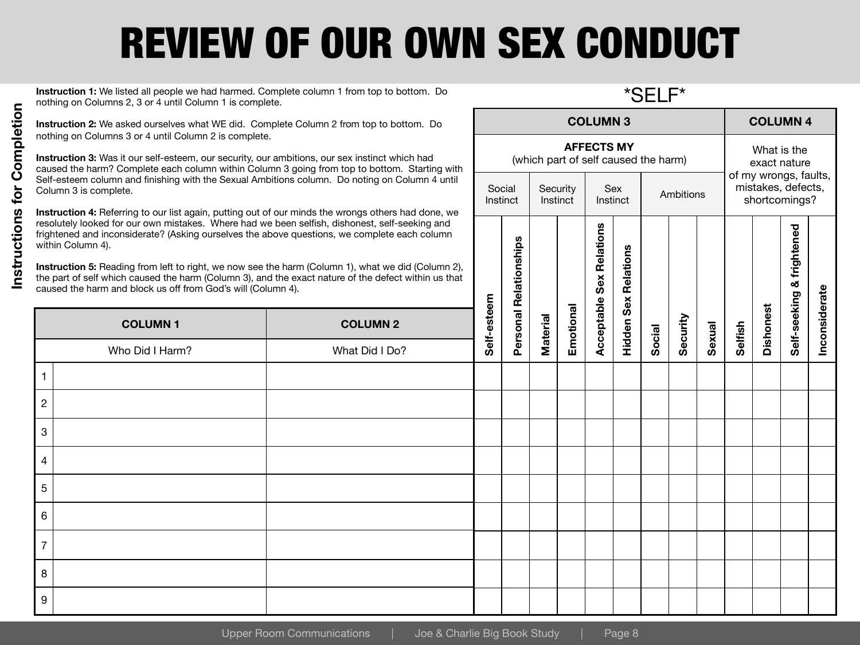# REVIEW OF OUR OWN SEX CONDUCT

Social **Instinct** 

**Instruction 1:** We listed all people we had harmed. Complete column 1 from top to bottom. Do nothing on Columns 2, 3 or 4 until Column 1 is complete.

\*SELF\*

Instinct **Ambitions** 

**AFFECTS MY** (which part of self caused the harm)

Sex

**Security Instinct** 

**COLUMN 3 COLUMN 4**

What is the exact nature of my wrongs, faults, mistakes, defects, shortcomings?

Instructions for Completion **Instructions for Completion**

**Instruction 2:** We asked ourselves what WE did. Complete Column 2 from top to bottom. Do nothing on Columns 3 or 4 until Column 2 is complete.

**Instruction 3:** Was it our self-esteem, our security, our ambitions, our sex instinct which had caused the harm? Complete each column within Column 3 going from top to bottom. Starting with Self-esteem column and finishing with the Sexual Ambitions column. Do noting on Column 4 until Column 3 is complete.

**Instruction 4:** Referring to our list again, putting out of our minds the wrongs others had done, we resolutely looked for our own mistakes. Where had we been selfish, dishonest, self-seeking and frightened and inconsiderate? (Asking ourselves the above questions, we complete each column within Column 4).

| within Column 4). | resolutely looked for our own mistakes. Where had we been selfish, dishonest, self-seeking and<br>frightened and inconsiderate? (Asking ourselves the above questions, we complete each column<br>Instruction 5: Reading from left to right, we now see the harm (Column 1), what we did (Column 2),<br>the part of self which caused the harm (Column 3), and the exact nature of the defect within us that<br>caused the harm and block us off from God's will (Column 4). |             |                        |                 |           | Relations<br>Sex | Relations<br>Sex |        |          |        |         |                  | frightened<br>ಕ |               |
|-------------------|------------------------------------------------------------------------------------------------------------------------------------------------------------------------------------------------------------------------------------------------------------------------------------------------------------------------------------------------------------------------------------------------------------------------------------------------------------------------------|-------------|------------------------|-----------------|-----------|------------------|------------------|--------|----------|--------|---------|------------------|-----------------|---------------|
| <b>COLUMN1</b>    | <b>COLUMN 2</b>                                                                                                                                                                                                                                                                                                                                                                                                                                                              | Self-esteem | Personal Relationships | <b>Material</b> | Emotional | Acceptable       | Hidden           |        | Security | Sexual | Selfish | <b>Dishonest</b> | Self-seeking    | Inconsiderate |
| Who Did I Harm?   | What Did I Do?                                                                                                                                                                                                                                                                                                                                                                                                                                                               |             |                        |                 |           |                  |                  | Social |          |        |         |                  |                 |               |
|                   |                                                                                                                                                                                                                                                                                                                                                                                                                                                                              |             |                        |                 |           |                  |                  |        |          |        |         |                  |                 |               |
| $\overline{2}$    |                                                                                                                                                                                                                                                                                                                                                                                                                                                                              |             |                        |                 |           |                  |                  |        |          |        |         |                  |                 |               |
| 3                 |                                                                                                                                                                                                                                                                                                                                                                                                                                                                              |             |                        |                 |           |                  |                  |        |          |        |         |                  |                 |               |
| $\overline{4}$    |                                                                                                                                                                                                                                                                                                                                                                                                                                                                              |             |                        |                 |           |                  |                  |        |          |        |         |                  |                 |               |
| 5                 |                                                                                                                                                                                                                                                                                                                                                                                                                                                                              |             |                        |                 |           |                  |                  |        |          |        |         |                  |                 |               |
| 6                 |                                                                                                                                                                                                                                                                                                                                                                                                                                                                              |             |                        |                 |           |                  |                  |        |          |        |         |                  |                 |               |
| $\overline{7}$    |                                                                                                                                                                                                                                                                                                                                                                                                                                                                              |             |                        |                 |           |                  |                  |        |          |        |         |                  |                 |               |
| 8                 |                                                                                                                                                                                                                                                                                                                                                                                                                                                                              |             |                        |                 |           |                  |                  |        |          |        |         |                  |                 |               |
| 9                 |                                                                                                                                                                                                                                                                                                                                                                                                                                                                              |             |                        |                 |           |                  |                  |        |          |        |         |                  |                 |               |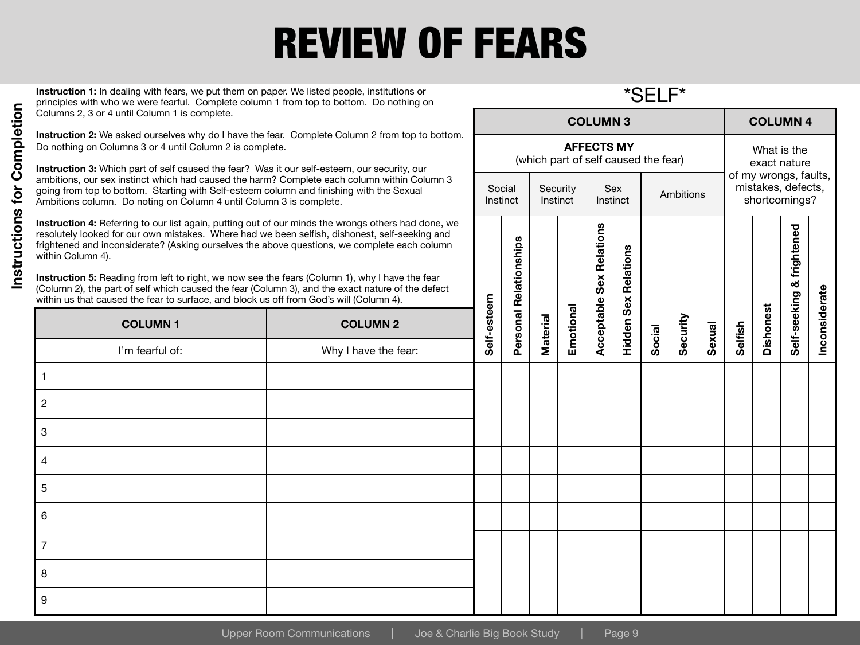# REVIEW OF FEARS

**Instruction 1:** In dealing with fears, we put them on paper. We listed people, institutions or principles with who we were fearful. Complete column 1 from top to bottom. Do nothing on Columns 2, 3 or 4 until Column 1 is complete.

**Instruction 2:** We asked ourselves why do I have the fear. Complete Column 2 from top to bottom. Do nothing on Columns 3 or 4 until Column 2 is complete.

**Instruction 3:** Which part of self caused the fear? Was it our self-esteem, our security, our ambitions, our sex instinct which had caused the harm? Complete each column within Column 3 going from top to bottom. Starting with Self-esteem column and finishing with the Sexual Ambitions column. Do noting on Column 4 until Column 3 is complete.

**Instruction 4:** Referring to our list again, putting out of our minds the wrongs others had done, we resolutely looked for our own mistakes. Where had we been selfish, dishonest, self-seeking and frightened and inconsiderate? (Asking ourselves the above questions, we complete each column within Column 4).

|              | <b>INSTRUCTION 4.</b> Determing to our list again, putting out or our minius the wrongs others had done, we<br>within Column 4). | resolutely looked for our own mistakes. Where had we been selfish, dishonest, self-seeking and<br>frightened and inconsiderate? (Asking ourselves the above questions, we complete each column<br><b>Instruction 5:</b> Reading from left to right, we now see the fears (Column 1), why I have the fear<br>(Column 2), the part of self which caused the fear (Column 3), and the exact nature of the defect<br>within us that caused the fear to surface, and block us off from God's will (Column 4). |             |          |          |           | Relations<br>Sex | <b>Relations</b><br>Sex |        |          |        |         |                  | frightened<br>ಹ |               |
|--------------|----------------------------------------------------------------------------------------------------------------------------------|----------------------------------------------------------------------------------------------------------------------------------------------------------------------------------------------------------------------------------------------------------------------------------------------------------------------------------------------------------------------------------------------------------------------------------------------------------------------------------------------------------|-------------|----------|----------|-----------|------------------|-------------------------|--------|----------|--------|---------|------------------|-----------------|---------------|
|              | <b>COLUMN1</b>                                                                                                                   | <b>COLUMN 2</b>                                                                                                                                                                                                                                                                                                                                                                                                                                                                                          | Self-esteem | Personal | Material | Emotional | Acceptable       | Hidden                  |        | Security | Sexual | Selfish | <b>Dishonest</b> | Self-seeking    | Inconsiderate |
|              | I'm fearful of:                                                                                                                  | Why I have the fear:                                                                                                                                                                                                                                                                                                                                                                                                                                                                                     |             |          |          |           |                  |                         | Social |          |        |         |                  |                 |               |
|              |                                                                                                                                  |                                                                                                                                                                                                                                                                                                                                                                                                                                                                                                          |             |          |          |           |                  |                         |        |          |        |         |                  |                 |               |
| $\mathbf{2}$ |                                                                                                                                  |                                                                                                                                                                                                                                                                                                                                                                                                                                                                                                          |             |          |          |           |                  |                         |        |          |        |         |                  |                 |               |
| 3            |                                                                                                                                  |                                                                                                                                                                                                                                                                                                                                                                                                                                                                                                          |             |          |          |           |                  |                         |        |          |        |         |                  |                 |               |
| 4            |                                                                                                                                  |                                                                                                                                                                                                                                                                                                                                                                                                                                                                                                          |             |          |          |           |                  |                         |        |          |        |         |                  |                 |               |
| 5            |                                                                                                                                  |                                                                                                                                                                                                                                                                                                                                                                                                                                                                                                          |             |          |          |           |                  |                         |        |          |        |         |                  |                 |               |
| 6            |                                                                                                                                  |                                                                                                                                                                                                                                                                                                                                                                                                                                                                                                          |             |          |          |           |                  |                         |        |          |        |         |                  |                 |               |
|              |                                                                                                                                  |                                                                                                                                                                                                                                                                                                                                                                                                                                                                                                          |             |          |          |           |                  |                         |        |          |        |         |                  |                 |               |
| 8            |                                                                                                                                  |                                                                                                                                                                                                                                                                                                                                                                                                                                                                                                          |             |          |          |           |                  |                         |        |          |        |         |                  |                 |               |
| 9            |                                                                                                                                  |                                                                                                                                                                                                                                                                                                                                                                                                                                                                                                          |             |          |          |           |                  |                         |        |          |        |         |                  |                 |               |

Social **Instinct**  \*SELF\*

Instinct **Ambitions** 

**AFFECTS MY** (which part of self caused the fear)

lations

Sex

**Security Instinct** 

**COLUMN 3 COLUMN 4**

What is the exact nature of my wrongs, faults, mistakes, defects, shortcomings?

htened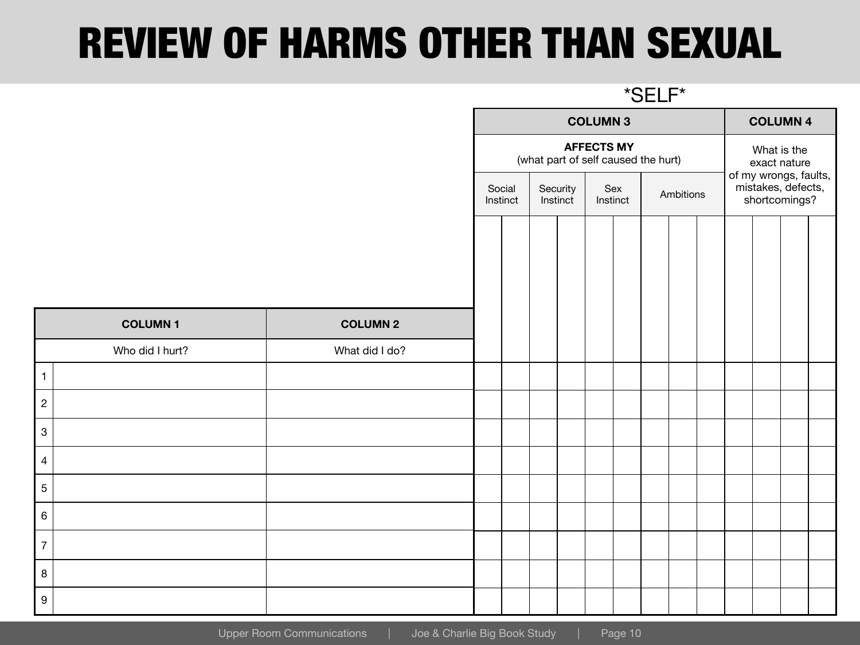#### REVIEW OF HARMS OTHER THAN SEXUAL

|                  |                 |                 | *SELF*                                                   |                                            |  |                 |  |  |           |  |                             |                                                              |  |  |  |  |  |
|------------------|-----------------|-----------------|----------------------------------------------------------|--------------------------------------------|--|-----------------|--|--|-----------|--|-----------------------------|--------------------------------------------------------------|--|--|--|--|--|
|                  |                 |                 | <b>COLUMN 3</b>                                          |                                            |  |                 |  |  |           |  |                             | <b>COLUMN 4</b>                                              |  |  |  |  |  |
|                  |                 |                 | <b>AFFECTS MY</b><br>(what part of self caused the hurt) |                                            |  |                 |  |  |           |  | What is the<br>exact nature |                                                              |  |  |  |  |  |
|                  |                 |                 |                                                          | Social<br>Security<br>Instinct<br>Instinct |  | Sex<br>Instinct |  |  | Ambitions |  |                             | of my wrongs, faults,<br>mistakes, defects,<br>shortcomings? |  |  |  |  |  |
|                  |                 |                 |                                                          |                                            |  |                 |  |  |           |  |                             |                                                              |  |  |  |  |  |
|                  | <b>COLUMN1</b>  | <b>COLUMN 2</b> |                                                          |                                            |  |                 |  |  |           |  |                             |                                                              |  |  |  |  |  |
|                  | Who did I hurt? | What did I do?  |                                                          |                                            |  |                 |  |  |           |  |                             |                                                              |  |  |  |  |  |
| $\mathbf{1}$     |                 |                 |                                                          |                                            |  |                 |  |  |           |  |                             |                                                              |  |  |  |  |  |
| $\overline{2}$   |                 |                 |                                                          |                                            |  |                 |  |  |           |  |                             |                                                              |  |  |  |  |  |
| $\overline{3}$   |                 |                 |                                                          |                                            |  |                 |  |  |           |  |                             |                                                              |  |  |  |  |  |
| $\overline{4}$   |                 |                 |                                                          |                                            |  |                 |  |  |           |  |                             |                                                              |  |  |  |  |  |
| 5                |                 |                 |                                                          |                                            |  |                 |  |  |           |  |                             |                                                              |  |  |  |  |  |
| $6\overline{6}$  |                 |                 |                                                          |                                            |  |                 |  |  |           |  |                             |                                                              |  |  |  |  |  |
| $\overline{7}$   |                 |                 |                                                          |                                            |  |                 |  |  |           |  |                             |                                                              |  |  |  |  |  |
| $\bf 8$          |                 |                 |                                                          |                                            |  |                 |  |  |           |  |                             |                                                              |  |  |  |  |  |
| $\boldsymbol{9}$ |                 |                 |                                                          |                                            |  |                 |  |  |           |  |                             |                                                              |  |  |  |  |  |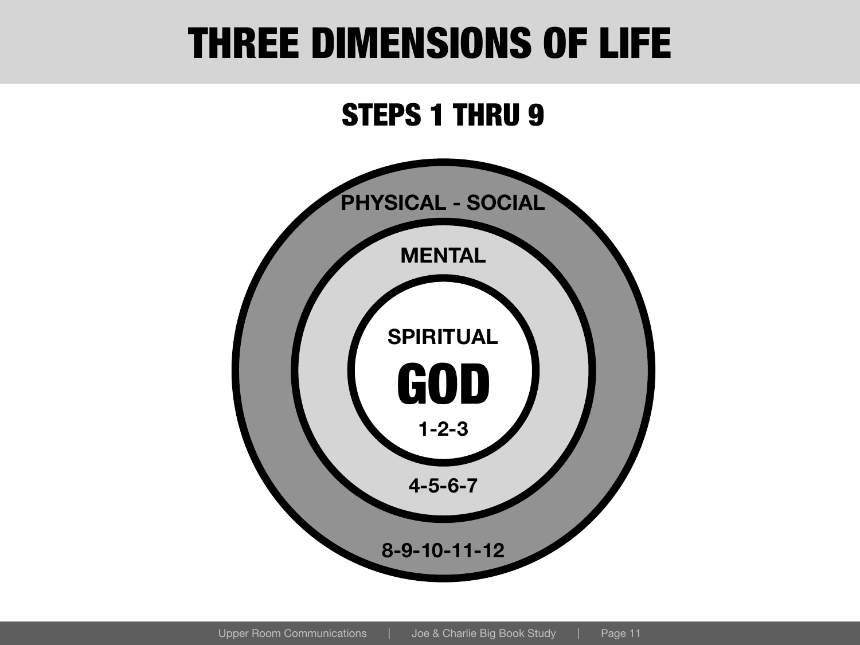#### THREE DIMENSIONS OF LIFE

#### STEPS 1 THRU 9